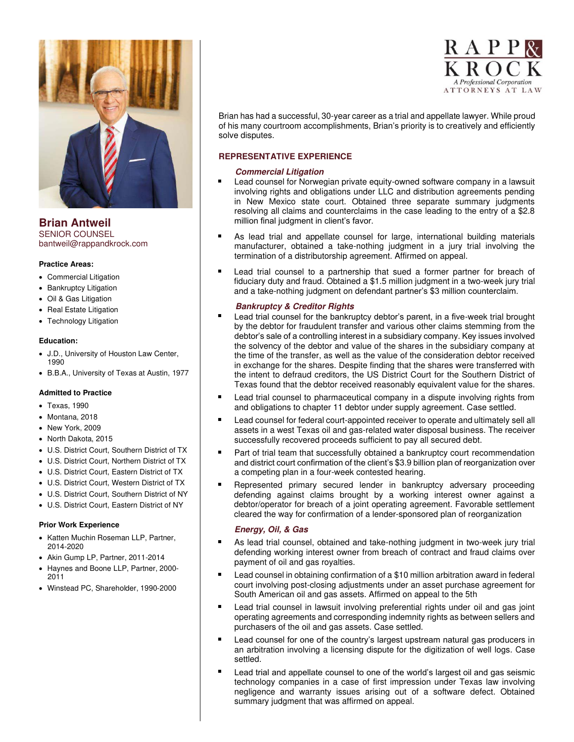

**Brian Antweil**  SENIOR COUNSEL bantweil@rappandkrock.com

### **Practice Areas:**

- Commercial Litigation
- Bankruptcy Litigation
- Oil & Gas Litigation
- Real Estate Litigation
- Technology Litigation

### **Education:**

- J.D., University of Houston Law Center, 1990
- B.B.A., University of Texas at Austin, 1977

### **Admitted to Practice**

- Texas, 1990
- Montana, 2018
- New York, 2009
- North Dakota, 2015
- U.S. District Court, Southern District of TX
- U.S. District Court, Northern District of TX
- U.S. District Court, Eastern District of TX
- U.S. District Court, Western District of TX
- U.S. District Court, Southern District of NY
- U.S. District Court, Eastern District of NY

### **Prior Work Experience**

- Katten Muchin Roseman LLP, Partner, 2014-2020
- Akin Gump LP, Partner, 2011-2014
- Haynes and Boone LLP, Partner, 2000- 2011
- Winstead PC, Shareholder, 1990-2000



Brian has had a successful, 30-year career as a trial and appellate lawyer. While proud of his many courtroom accomplishments, Brian's priority is to creatively and efficiently solve disputes.

## **REPRESENTATIVE EXPERIENCE**

### **Commercial Litigation**

- Lead counsel for Norwegian private equity-owned software company in a lawsuit involving rights and obligations under LLC and distribution agreements pending in New Mexico state court. Obtained three separate summary judgments resolving all claims and counterclaims in the case leading to the entry of a \$2.8 million final judgment in client's favor.
- As lead trial and appellate counsel for large, international building materials manufacturer, obtained a take-nothing judgment in a jury trial involving the termination of a distributorship agreement. Affirmed on appeal.
- Lead trial counsel to a partnership that sued a former partner for breach of fiduciary duty and fraud. Obtained a \$1.5 million judgment in a two-week jury trial and a take-nothing judgment on defendant partner's \$3 million counterclaim.

## **Bankruptcy & Creditor Rights**

- Lead trial counsel for the bankruptcy debtor's parent, in a five-week trial brought by the debtor for fraudulent transfer and various other claims stemming from the debtor's sale of a controlling interest in a subsidiary company. Key issues involved the solvency of the debtor and value of the shares in the subsidiary company at the time of the transfer, as well as the value of the consideration debtor received in exchange for the shares. Despite finding that the shares were transferred with the intent to defraud creditors, the US District Court for the Southern District of Texas found that the debtor received reasonably equivalent value for the shares.
- Lead trial counsel to pharmaceutical company in a dispute involving rights from  $\blacksquare$ and obligations to chapter 11 debtor under supply agreement. Case settled.
- Lead counsel for federal court-appointed receiver to operate and ultimately sell all assets in a west Texas oil and gas-related water disposal business. The receiver successfully recovered proceeds sufficient to pay all secured debt.
- Part of trial team that successfully obtained a bankruptcy court recommendation and district court confirmation of the client's \$3.9 billion plan of reorganization over a competing plan in a four-week contested hearing.
- Represented primary secured lender in bankruptcy adversary proceeding defending against claims brought by a working interest owner against a debtor/operator for breach of a joint operating agreement. Favorable settlement cleared the way for confirmation of a lender-sponsored plan of reorganization

## **Energy, Oil, & Gas**

- As lead trial counsel, obtained and take-nothing judgment in two-week jury trial defending working interest owner from breach of contract and fraud claims over payment of oil and gas royalties.
- Lead counsel in obtaining confirmation of a \$10 million arbitration award in federal court involving post-closing adjustments under an asset purchase agreement for South American oil and gas assets. Affirmed on appeal to the 5th
- Lead trial counsel in lawsuit involving preferential rights under oil and gas joint operating agreements and corresponding indemnity rights as between sellers and purchasers of the oil and gas assets. Case settled.
- Lead counsel for one of the country's largest upstream natural gas producers in an arbitration involving a licensing dispute for the digitization of well logs. Case settled.
- Lead trial and appellate counsel to one of the world's largest oil and gas seismic technology companies in a case of first impression under Texas law involving negligence and warranty issues arising out of a software defect. Obtained summary judgment that was affirmed on appeal.